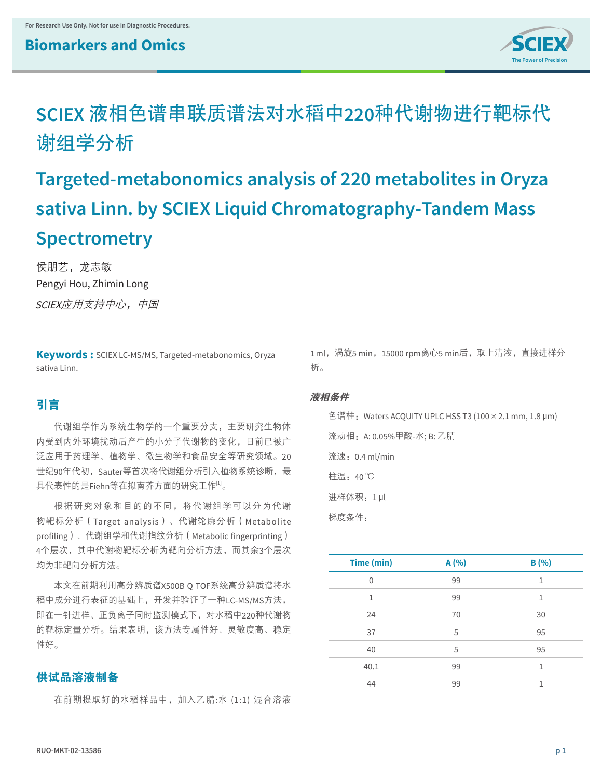

## **SCIEX** 液相色谱串联质谱法对水稻中**220**种代谢物进行靶标代 谢组学分析

# **Targeted-metabonomics analysis of 220 metabolites in Oryza sativa Linn. by SCIEX Liquid Chromatography-Tandem Mass Spectrometry**

侯朋艺,龙志敏 Pengyi Hou, Zhimin Long SCIEX应用支持中心,中国

**Keywords :** SCIEX LC-MS/MS, Targeted-metabonomics, Oryza sativa Linn.

## 引言

代谢组学作为系统生物学的一个重要分支,主要研究生物体 内受到内外环境扰动后产生的小分子代谢物的变化,目前已被广 泛应用于药理学、植物学、微生物学和食品安全等研究领域。20 世纪90年代初, Sauter等首次将代谢组分析引入植物系统诊断, 最 具代表性的是Fiehn等在拟南芥方面的研究工作[1]。

根据研究对象和目的的不同,将代谢组学可以分为代谢 物靶标分析(Target analysis)、代谢轮廓分析(Metabolite profiling)、代谢组学和代谢指纹分析(Metabolic fingerprinting) 4个层次,其中代谢物靶标分析为靶向分析方法,而其余3个层次 均为非靶向分析方法。

本文在前期利用高分辨质谱X500B Q TOF系统高分辨质谱将水 稻中成分进行表征的基础上,开发并验证了一种LC-MS/MS方法, 即在一针进样、正负离子同时监测模式下,对水稻中220种代谢物 的靶标定量分析。结果表明,该方法专属性好、灵敏度高、稳定 性好。

## 供试品溶液制备

在前期提取好的水稻样品中,加入乙腈:水 (1:1) 混合溶液

1 ml, 涡旋5 min, 15000 rpm离心5 min后, 取上清液, 直接进样分 析。

#### 液相条件

色谱柱:Waters ACQUITY UPLC HSS T3 (100×2.1 mm, 1.8 μm) 流动相:A: 0.05%甲酸-水; B: 乙腈 流速:0.4 ml/min 柱温:40 ℃ 进样体积:1 μl 梯度条件:

| Time (min)   | A (%) | B(%)         |
|--------------|-------|--------------|
| $\Omega$     | 99    | 1            |
| $\mathbf{1}$ | 99    | $\mathbf{1}$ |
| 24           | 70    | 30           |
| 37           | 5     | 95           |
| 40           | 5     | 95           |
| 40.1         | 99    | 1            |
| 44           | 99    | 1            |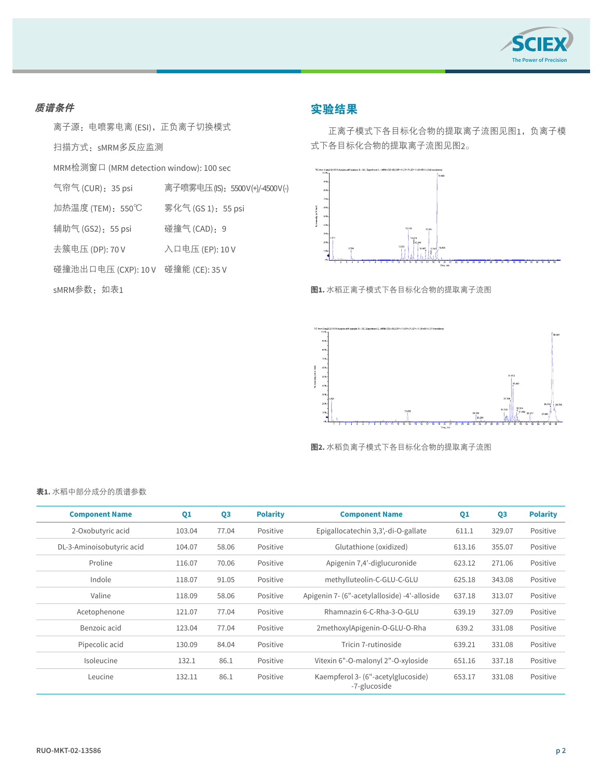

#### 质谱条件

离子源: 电喷雾电离 (ESI), 正负离子切换模式

扫描方式:sMRM多反应监测

MRM检测窗口 (MRM detection window): 100 sec

| 气帘气(CUR): 35 psi |  | 离子喷雾电压(IS): 5500V(+)/-4500V(-) |  |
|------------------|--|--------------------------------|--|
|------------------|--|--------------------------------|--|

加热温度 (TEM): 550℃ 雾化气 (GS 1): 55 psi

辅助气 (GS2):55 psi 碰撞气 (CAD):9

去簇电压 (DP): 70 V 入口电压 (EP): 10 V

碰撞池出口电压 (CXP): 10 V 碰撞能 (CE): 35 V

sMRM参数:如表1

## 实验结果

正离子模式下各目标化合物的提取离子流图见图1,负离子模 式下各目标化合物的提取离子流图见图2。



图**1.** 水稻正离子模式下各目标化合物的提取离子流图



图**2.** 水稻负离子模式下各目标化合物的提取离子流图

#### 表**1.** 水稻中部分成分的质谱参数

| <b>Component Name</b>     | Q1     | Q <sub>3</sub> | <b>Polarity</b> | <b>Component Name</b>                              | Q1     | Q <sub>3</sub> | <b>Polarity</b> |
|---------------------------|--------|----------------|-----------------|----------------------------------------------------|--------|----------------|-----------------|
| 2-Oxobutyric acid         | 103.04 | 77.04          | Positive        | Epigallocatechin 3,3',-di-O-gallate                | 611.1  | 329.07         | Positive        |
| DL-3-Aminoisobutyric acid | 104.07 | 58.06          | Positive        | Glutathione (oxidized)                             | 613.16 | 355.07         | Positive        |
| Proline                   | 116.07 | 70.06          | Positive        | Apigenin 7,4'-diglucuronide                        | 623.12 | 271.06         | Positive        |
| Indole                    | 118.07 | 91.05          | Positive        | methylluteolin-C-GLU-C-GLU                         | 625.18 | 343.08         | Positive        |
| Valine                    | 118.09 | 58.06          | Positive        | Apigenin 7- (6"-acetylalloside) -4'-alloside       | 637.18 | 313.07         | Positive        |
| Acetophenone              | 121.07 | 77.04          | Positive        | Rhamnazin 6-C-Rha-3-O-GLU                          | 639.19 | 327.09         | Positive        |
| Benzoic acid              | 123.04 | 77.04          | Positive        | 2methoxylApigenin-O-GLU-O-Rha                      | 639.2  | 331.08         | Positive        |
| Pipecolic acid            | 130.09 | 84.04          | Positive        | Tricin 7-rutinoside                                | 639.21 | 331.08         | Positive        |
| Isoleucine                | 132.1  | 86.1           | Positive        | Vitexin 6"-O-malonyl 2"-O-xyloside                 | 651.16 | 337.18         | Positive        |
| Leucine                   | 132.11 | 86.1           | Positive        | Kaempferol 3- (6"-acetylglucoside)<br>-7-glucoside | 653.17 | 331.08         | Positive        |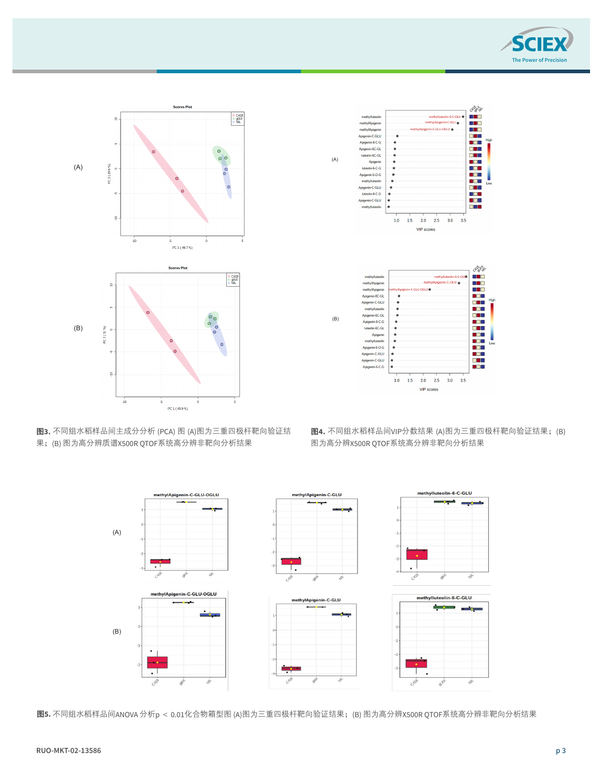

图4. 不同组水稻样品间VIP分数结果 (A)图为三重四极杆靶向验证结果;(B) 图为X500 QTOF高分辨非





图**3.** 不同组水稻样品间主成分分析 (PCA) 图 (A)图为三重四极杆靶向验证结 果;(B) 图为高分辨质谱X500R QTOF系统高分辨非靶向分析结果

图**4.** 不同组水稻样品间VIP分数结果 (A)图为三重四极杆靶向验证结果;(B) 图为高分辨X500R QTOF系统高分辨非靶向分析结果



图**5.** 不同组水稻样品间ANOVA 分析p < 0.01化合物箱型图 (A)图为三重四极杆靶向验证结果;(B) 图为高分辨X500R QTOF系统高分辨非靶向分析结果